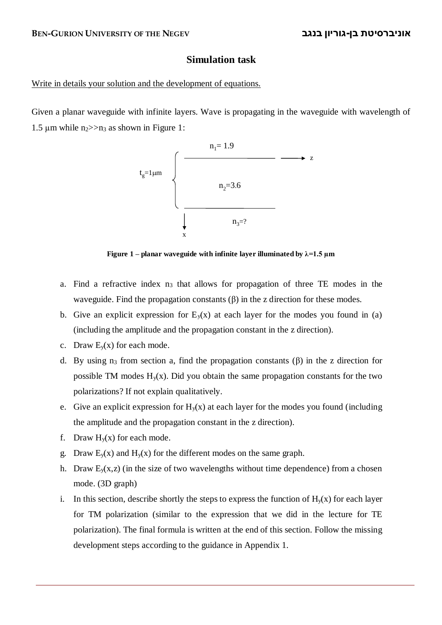## **Simulation task**

## Write in details your solution and the development of equations.

Given a planar waveguide with infinite layers. Wave is propagating in the waveguide with wavelength of 1.5  $\mu$ m while n<sub>2</sub> $>$ n<sub>3</sub> as shown in Figure 1:



**Figure 1** – **planar waveguide with infinite layer illuminated by**  $\lambda = 1.5 \text{ }\mu\text{m}$ 

- a. Find a refractive index  $n_3$  that allows for propagation of three TE modes in the waveguide. Find the propagation constants  $(\beta)$  in the z direction for these modes.
- b. Give an explicit expression for  $E_y(x)$  at each layer for the modes you found in (a) (including the amplitude and the propagation constant in the z direction).
- c. Draw  $E_v(x)$  for each mode.
- d. By using  $n_3$  from section a, find the propagation constants ( $\beta$ ) in the z direction for possible TM modes  $H<sub>v</sub>(x)$ . Did you obtain the same propagation constants for the two polarizations? If not explain qualitatively.
- e. Give an explicit expression for  $H<sub>v</sub>(x)$  at each layer for the modes you found (including the amplitude and the propagation constant in the z direction).
- f. Draw  $H_v(x)$  for each mode.
- g. Draw  $E_y(x)$  and  $H_y(x)$  for the different modes on the same graph.
- h. Draw  $E_y(x, z)$  (in the size of two wavelengths without time dependence) from a chosen mode. (3D graph)
- i. In this section, describe shortly the steps to express the function of  $H<sub>v</sub>(x)$  for each layer for TM polarization (similar to the expression that we did in the lecture for TE polarization). The final formula is written at the end of this section. Follow the missing development steps according to the guidance in Appendix 1.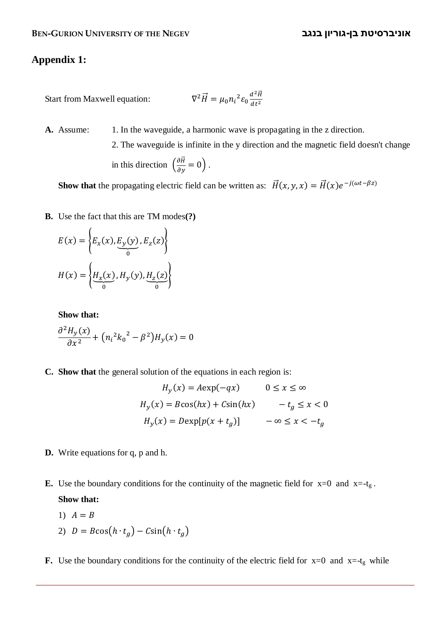## **Appendix 1:**

Start from Maxwell equation: 
$$
\nabla^2 \vec{H} = \mu_0 n_i^2 \varepsilon_0 \frac{d^2 \vec{H}}{dt^2}
$$

**A.** Assume: 1. In the waveguide, a harmonic wave is propagating in the z direction.

2. The waveguide is infinite in the y direction and the magnetic field doesn't change in this direction  $\left(\frac{\partial \vec{H}}{\partial y} = 0\right)$ .

**Show that** the propagating electric field can be written as:  $\vec{H}(x, y, x) = \vec{H}(x)e^{-j(\omega t - \beta z)}$ 

**B.** Use the fact that this are TM modes**(?)**

$$
E(x) = \left\{ E_x(x), E_y(y), E_z(z) \right\}
$$

$$
H(x) = \left\{ \underbrace{H_x(x)}_{0}, H_y(y), \underbrace{H_z(z)}_{0} \right\}
$$

**Show that:**

$$
\frac{\partial^2 H_y(x)}{\partial x^2} + (n_i^2 k_0^2 - \beta^2) H_y(x) = 0
$$

**C. Show that** the general solution of the equations in each region is:

$$
H_y(x) = A \exp(-qx) \qquad 0 \le x \le \infty
$$
  

$$
H_y(x) = B \cos(hx) + C \sin(hx) \qquad -t_g \le x < 0
$$
  

$$
H_y(x) = D \exp[p(x + t_g)] \qquad -\infty \le x < -t_g
$$

- **D.** Write equations for q, p and h.
- **E.** Use the boundary conditions for the continuity of the magnetic field for  $x=0$  and  $x=-t<sub>g</sub>$ . **Show that:**

$$
1) A = B
$$

- 2)  $D = B\cos(h \cdot t_q) C\sin(h \cdot t_q)$
- **F.** Use the boundary conditions for the continuity of the electric field for  $x=0$  and  $x = -t_g$  while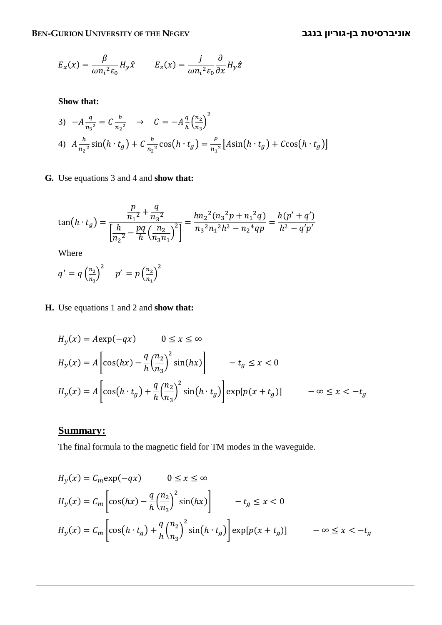**BEN-GURION UNIVERSITY OF THE NEGEV בנגב גוריון-בן אוניברסיטת**

$$
E_x(x) = \frac{\beta}{\omega n_i^2 \varepsilon_0} H_y \hat{x} \qquad E_z(x) = \frac{j}{\omega n_i^2 \varepsilon_0} \frac{\partial}{\partial x} H_y \hat{z}
$$

**Show that:**

3) 
$$
-A \frac{q}{n_3^2} = C \frac{h}{n_2^2} \rightarrow C = -A \frac{q}{h} (\frac{n_2}{n_3})^2
$$
  
4)  $A \frac{h}{n_2^2} \sin(h \cdot t_g) + C \frac{h}{n_2^2} \cos(h \cdot t_g) = \frac{P}{n_1^2} [A \sin(h \cdot t_g) + C \cos(h \cdot t_g)]$ 

**G.** Use equations 3 and 4 and **show that:**

$$
\tan\left(h \cdot t_g\right) = \frac{\frac{p}{n_1^2} + \frac{q}{n_3^2}}{\left[\frac{h}{n_2^2} - \frac{pq}{h}\left(\frac{n_2}{n_3 n_1}\right)^2\right]} = \frac{hn_2^2(n_3^2 p + n_1^2 q)}{n_3^2 n_1^2 h^2 - n_2^4 q p} = \frac{h(p' + q')}{h^2 - q' p'}
$$

Where

$$
q' = q \left(\frac{n_2}{n_3}\right)^2 \quad p' = p \left(\frac{n_2}{n_1}\right)^2
$$

**H.** Use equations 1 and 2 and **show that:**

$$
H_y(x) = A \exp(-qx) \qquad 0 \le x \le \infty
$$
  
\n
$$
H_y(x) = A \left[ \cos(hx) - \frac{q}{h} \left( \frac{n_2}{n_3} \right)^2 \sin(hx) \right] \qquad -t_g \le x < 0
$$
  
\n
$$
H_y(x) = A \left[ \cos(h \cdot t_g) + \frac{q}{h} \left( \frac{n_2}{n_3} \right)^2 \sin(h \cdot t_g) \right] \exp[p(x + t_g)] \qquad -\infty \le x < -t_g
$$

## **Summary:**

The final formula to the magnetic field for TM modes in the waveguide.

$$
H_y(x) = C_m \exp(-qx) \qquad 0 \le x \le \infty
$$
  
\n
$$
H_y(x) = C_m \left[ \cos(hx) - \frac{q}{h} \left( \frac{n_2}{n_3} \right)^2 \sin(hx) \right] \qquad -t_g \le x < 0
$$
  
\n
$$
H_y(x) = C_m \left[ \cos(h \cdot t_g) + \frac{q}{h} \left( \frac{n_2}{n_3} \right)^2 \sin(h \cdot t_g) \right] \exp[p(x + t_g)] \qquad -\infty \le x < -t_g
$$